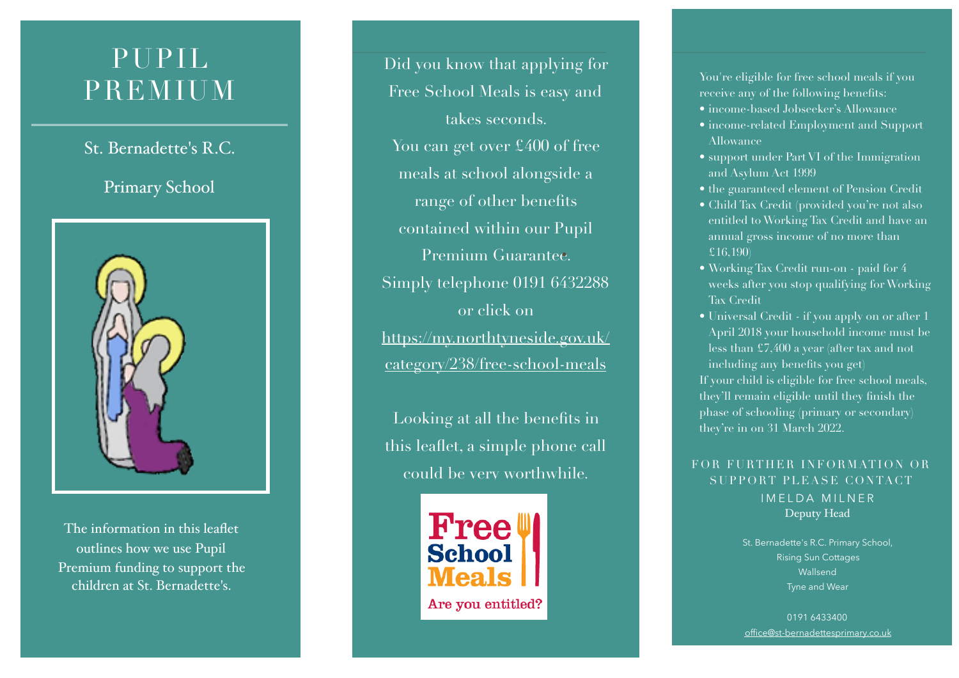# PUPIL PREMIUM

# St. Bernadette's R.C.

# Primary School



The information in this leaflet outlines how we use Pupil Premium funding to support the children at St. Bernadette's.

Did you know that applying for Free School Meals is easy and takes seconds. You can get over £400 of free meals at school alongside a range of other benefits contained within our Pupil Premium Guarantee. Simply telephone 0191 6432288 or click on [https://my.northtyneside.gov.uk/](https://my.northtyneside.gov.uk/category/238/free-school-meals) [category/238/free-school-meals](https://my.northtyneside.gov.uk/category/238/free-school-meals)

Looking at all the benefits in this leaflet, a simple phone call could be very worthwhile.



You're eligible for free school meals if you receive any of the following benefits: • income-based Jobseeker's Allowance • income-related Employment and Support

- 
- Allowance
- support under Part VI of the Immigration and Asylum Act 1999
- the guaranteed element of Pension Credit Child Tax Credit (provided you're not also
- entitled to Working Tax Credit and have an annual gross income of no more than £16,190)
- Working Tax Credit run-on paid for 4 weeks after you stop qualifying for Working Tax Credit
- Universal Credit if you apply on or after 1 April 2018 your household income must be less than £7,400 a year (after tax and not including any benefits you get)

If your child is eligible for free school meals, they'll remain eligible until they finish the phase of schooling (primary or secondary) they're in on 31 March 2022.

### IMELDA MILNER Deputy Head FOR FURTHER INFORMATION OR SUPPORT PLEASE CONTACT

St. Bernadette's R.C. Primary School, Rising Sun Cottages Wallsend Tyne and Wear

0191 6433400 [office@st-bernadettesprimary.co.uk](mailto:stbernadettes.primary@northtyneside.gov.uk)